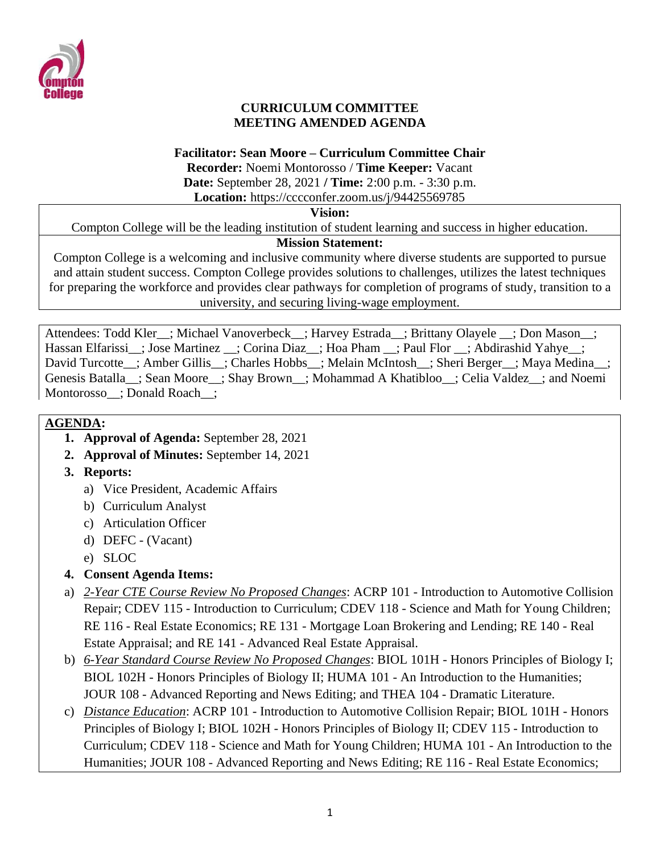

### **CURRICULUM COMMITTEE MEETING AMENDED AGENDA**

#### **Facilitator: Sean Moore – Curriculum Committee Chair**

**Recorder:** Noemi Montorosso / **Time Keeper:** Vacant **Date:** September 28, 2021 **/ Time:** 2:00 p.m. - 3:30 p.m.

**Location:** https://cccconfer.zoom.us/j/94425569785

#### **Vision:**

Compton College will be the leading institution of student learning and success in higher education.

## **Mission Statement:**

Compton College is a welcoming and inclusive community where diverse students are supported to pursue and attain student success. Compton College provides solutions to challenges, utilizes the latest techniques for preparing the workforce and provides clear pathways for completion of programs of study, transition to a university, and securing living-wage employment.

Attendees: Todd Kler ; Michael Vanoverbeck ; Harvey Estrada ; Brittany Olayele ; Don Mason ; Hassan Elfarissi\_\_; Jose Martinez \_\_; Corina Diaz\_\_; Hoa Pham \_\_; Paul Flor \_\_; Abdirashid Yahye\_\_; David Turcotte\_; Amber Gillis\_; Charles Hobbs\_; Melain McIntosh\_; Sheri Berger\_; Maya Medina\_; Genesis Batalla\_\_; Sean Moore\_\_; Shay Brown\_\_; Mohammad A Khatibloo\_\_; Celia Valdez\_\_; and Noemi Montorosso : Donald Roach :

## **AGENDA:**

- **1. Approval of Agenda:** September 28, 2021
- **2. Approval of Minutes:** September 14, 2021
- **3. Reports:** 
	- a) Vice President, Academic Affairs
	- b) Curriculum Analyst
	- c) Articulation Officer
	- d) DEFC (Vacant)
	- e) SLOC
- **4. Consent Agenda Items:**
- a) *2-Year CTE Course Review No Proposed Changes*: ACRP 101 Introduction to Automotive Collision Repair; CDEV 115 - Introduction to Curriculum; CDEV 118 - Science and Math for Young Children; RE 116 - Real Estate Economics; RE 131 - Mortgage Loan Brokering and Lending; RE 140 - Real Estate Appraisal; and RE 141 - Advanced Real Estate Appraisal.
- b) *6-Year Standard Course Review No Proposed Changes*: BIOL 101H Honors Principles of Biology I; BIOL 102H - Honors Principles of Biology II; HUMA 101 - An Introduction to the Humanities; JOUR 108 - Advanced Reporting and News Editing; and THEA 104 - Dramatic Literature.
- c) *Distance Education*: ACRP 101 Introduction to Automotive Collision Repair; BIOL 101H Honors Principles of Biology I; BIOL 102H - Honors Principles of Biology II; CDEV 115 - Introduction to Curriculum; CDEV 118 - Science and Math for Young Children; HUMA 101 - An Introduction to the Humanities; JOUR 108 - Advanced Reporting and News Editing; RE 116 - Real Estate Economics;